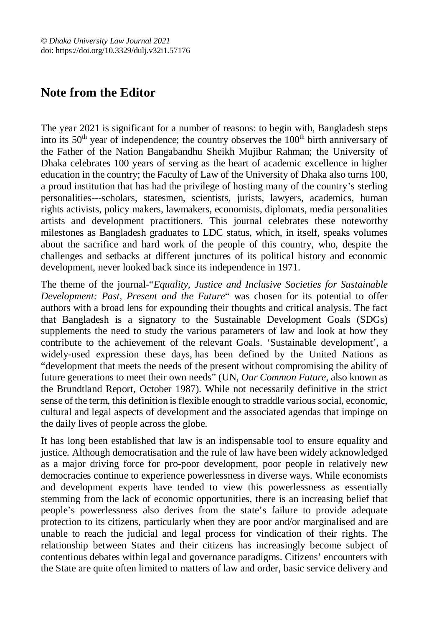## **Note from the Editor**

The year 2021 is significant for a number of reasons: to begin with, Bangladesh steps into its  $50<sup>th</sup>$  year of independence; the country observes the  $100<sup>th</sup>$  birth anniversary of the Father of the Nation Bangabandhu Sheikh Mujibur Rahman; the University of Dhaka celebrates 100 years of serving as the heart of academic excellence in higher education in the country; the Faculty of Law of the University of Dhaka also turns 100, a proud institution that has had the privilege of hosting many of the country's sterling personalities---scholars, statesmen, scientists, jurists, lawyers, academics, human rights activists, policy makers, lawmakers, economists, diplomats, media personalities artists and development practitioners. This journal celebrates these noteworthy milestones as Bangladesh graduates to LDC status, which, in itself, speaks volumes about the sacrifice and hard work of the people of this country, who, despite the challenges and setbacks at different junctures of its political history and economic development, never looked back since its independence in 1971.

The theme of the journal-"*Equality, Justice and Inclusive Societies for Sustainable Development: Past, Present and the Future*" was chosen for its potential to offer authors with a broad lens for expounding their thoughts and critical analysis. The fact that Bangladesh is a signatory to the Sustainable Development Goals (SDGs) supplements the need to study the various parameters of law and look at how they contribute to the achievement of the relevant Goals. 'Sustainable development', a widely-used expression these days, has been defined by the United Nations as "development that meets the needs of the present without compromising the ability of future generations to meet their own needs" (UN, *Our Common Future*, also known as the Brundtland Report, October 1987). While not necessarily definitive in the strict sense of the term, this definition is flexible enough to straddle various social, economic, cultural and legal aspects of development and the associated agendas that impinge on the daily lives of people across the globe.

It has long been established that law is an indispensable tool to ensure equality and justice. Although democratisation and the rule of law have been widely acknowledged as a major driving force for pro-poor development, poor people in relatively new democracies continue to experience powerlessness in diverse ways. While economists and development experts have tended to view this powerlessness as essentially stemming from the lack of economic opportunities, there is an increasing belief that people's powerlessness also derives from the state's failure to provide adequate protection to its citizens, particularly when they are poor and/or marginalised and are unable to reach the judicial and legal process for vindication of their rights. The relationship between States and their citizens has increasingly become subject of contentious debates within legal and governance paradigms. Citizens' encounters with the State are quite often limited to matters of law and order, basic service delivery and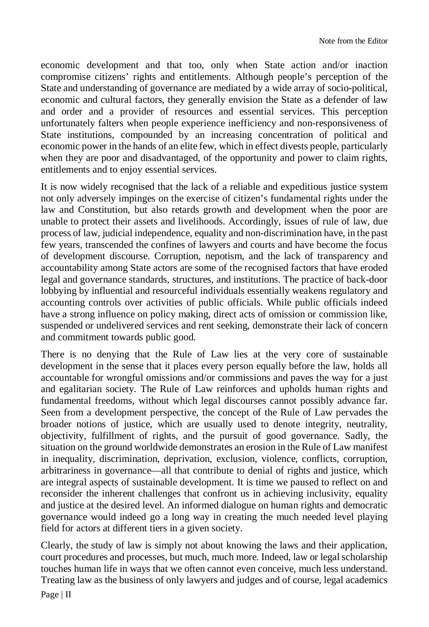economic development and that too, only when State action and/or inaction compromise citizens' rights and entitlements. Although people's perception of the State and understanding of governance are mediated by a wide array of socio-political, economic and cultural factors, they generally envision the State as a defender of law and order and a provider of resources and essential services. This perception unfortunately falters when people experience inefficiency and non-responsiveness of State institutions, compounded by an increasing concentration of political and economic power in the hands of an elite few, which in effect divests people, particularly when they are poor and disadvantaged, of the opportunity and power to claim rights, entitlements and to enjoy essential services.

It is now widely recognised that the lack of a reliable and expeditious justice system not only adversely impinges on the exercise of citizen's fundamental rights under the law and Constitution, but also retards growth and development when the poor are unable to protect their assets and livelihoods. Accordingly, issues of rule of law, due process of law, judicial independence, equality and non-discrimination have, in the past few years, transcended the confines of lawyers and courts and have become the focus of development discourse. Corruption, nepotism, and the lack of transparency and accountability among State actors are some of the recognised factors that have eroded legal and governance standards, structures, and institutions. The practice of back-door lobbying by influential and resourceful individuals essentially weakens regulatory and accounting controls over activities of public officials. While public officials indeed have a strong influence on policy making, direct acts of omission or commission like, suspended or undelivered services and rent seeking, demonstrate their lack of concern and commitment towards public good.

There is no denying that the Rule of Law lies at the very core of sustainable development in the sense that it places every person equally before the law, holds all accountable for wrongful omissions and/or commissions and paves the way for a just and egalitarian society. The Rule of Law reinforces and upholds human rights and fundamental freedoms, without which legal discourses cannot possibly advance far. Seen from a development perspective, the concept of the Rule of Law pervades the broader notions of justice, which are usually used to denote integrity, neutrality, objectivity, fulfillment of rights, and the pursuit of good governance. Sadly, the situation on the ground worldwide demonstrates an erosion in the Rule of Law manifest in inequality, discrimination, deprivation, exclusion, violence, conflicts, corruption, arbitrariness in governance—all that contribute to denial of rights and justice, which are integral aspects of sustainable development. It is time we paused to reflect on and reconsider the inherent challenges that confront us in achieving inclusivity, equality and justice at the desired level. An informed dialogue on human rights and democratic governance would indeed go a long way in creating the much needed level playing field for actors at different tiers in a given society.

Clearly, the study of law is simply not about knowing the laws and their application, court procedures and processes, but much, much more. Indeed, law or legal scholarship touches human life in ways that we often cannot even conceive, much less understand. Treating law as the business of only lawyers and judges and of course, legal academics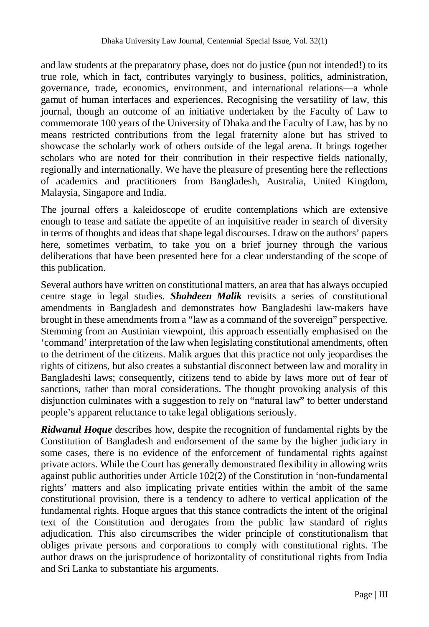and law students at the preparatory phase, does not do justice (pun not intended!) to its true role, which in fact, contributes varyingly to business, politics, administration, governance, trade, economics, environment, and international relations—a whole gamut of human interfaces and experiences. Recognising the versatility of law, this journal, though an outcome of an initiative undertaken by the Faculty of Law to commemorate 100 years of the University of Dhaka and the Faculty of Law, has by no means restricted contributions from the legal fraternity alone but has strived to showcase the scholarly work of others outside of the legal arena. It brings together scholars who are noted for their contribution in their respective fields nationally, regionally and internationally. We have the pleasure of presenting here the reflections of academics and practitioners from Bangladesh, Australia, United Kingdom, Malaysia, Singapore and India.

The journal offers a kaleidoscope of erudite contemplations which are extensive enough to tease and satiate the appetite of an inquisitive reader in search of diversity in terms of thoughts and ideas that shape legal discourses. I draw on the authors' papers here, sometimes verbatim, to take you on a brief journey through the various deliberations that have been presented here for a clear understanding of the scope of this publication.

Several authors have written on constitutional matters, an area that has always occupied centre stage in legal studies. *Shahdeen Malik* revisits a series of constitutional amendments in Bangladesh and demonstrates how Bangladeshi law-makers have brought in these amendments from a "law as a command of the sovereign" perspective. Stemming from an Austinian viewpoint, this approach essentially emphasised on the 'command' interpretation of the law when legislating constitutional amendments, often to the detriment of the citizens. Malik argues that this practice not only jeopardises the rights of citizens, but also creates a substantial disconnect between law and morality in Bangladeshi laws; consequently, citizens tend to abide by laws more out of fear of sanctions, rather than moral considerations. The thought provoking analysis of this disjunction culminates with a suggestion to rely on "natural law" to better understand people's apparent reluctance to take legal obligations seriously.

*Ridwanul Hoque* describes how, despite the recognition of fundamental rights by the Constitution of Bangladesh and endorsement of the same by the higher judiciary in some cases, there is no evidence of the enforcement of fundamental rights against private actors. While the Court has generally demonstrated flexibility in allowing writs against public authorities under Article 102(2) of the Constitution in 'non-fundamental rights' matters and also implicating private entities within the ambit of the same constitutional provision, there is a tendency to adhere to vertical application of the fundamental rights. Hoque argues that this stance contradicts the intent of the original text of the Constitution and derogates from the public law standard of rights adjudication. This also circumscribes the wider principle of constitutionalism that obliges private persons and corporations to comply with constitutional rights. The author draws on the jurisprudence of horizontality of constitutional rights from India and Sri Lanka to substantiate his arguments.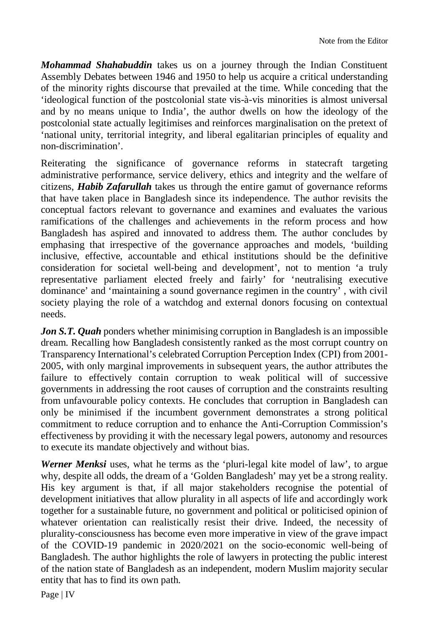*Mohammad Shahabuddin* takes us on a journey through the Indian Constituent Assembly Debates between 1946 and 1950 to help us acquire a critical understanding of the minority rights discourse that prevailed at the time. While conceding that the 'ideological function of the postcolonial state vis-à-vis minorities is almost universal and by no means unique to India', the author dwells on how the ideology of the postcolonial state actually legitimises and reinforces marginalisation on the pretext of 'national unity, territorial integrity, and liberal egalitarian principles of equality and non-discrimination'.

Reiterating the significance of governance reforms in statecraft targeting administrative performance, service delivery, ethics and integrity and the welfare of citizens, *Habib Zafarullah* takes us through the entire gamut of governance reforms that have taken place in Bangladesh since its independence. The author revisits the conceptual factors relevant to governance and examines and evaluates the various ramifications of the challenges and achievements in the reform process and how Bangladesh has aspired and innovated to address them. The author concludes by emphasing that irrespective of the governance approaches and models, 'building inclusive, effective, accountable and ethical institutions should be the definitive consideration for societal well-being and development', not to mention 'a truly representative parliament elected freely and fairly' for 'neutralising executive dominance' and 'maintaining a sound governance regimen in the country' , with civil society playing the role of a watchdog and external donors focusing on contextual needs.

*Jon S.T. Quah* ponders whether minimising corruption in Bangladesh is an impossible dream. Recalling how Bangladesh consistently ranked as the most corrupt country on Transparency International's celebrated Corruption Perception Index (CPI) from 2001- 2005, with only marginal improvements in subsequent years, the author attributes the failure to effectively contain corruption to weak political will of successive governments in addressing the root causes of corruption and the constraints resulting from unfavourable policy contexts. He concludes that corruption in Bangladesh can only be minimised if the incumbent government demonstrates a strong political commitment to reduce corruption and to enhance the Anti-Corruption Commission's effectiveness by providing it with the necessary legal powers, autonomy and resources to execute its mandate objectively and without bias.

*Werner Menksi* uses, what he terms as the 'pluri-legal kite model of law', to argue why, despite all odds, the dream of a 'Golden Bangladesh' may yet be a strong reality. His key argument is that, if all major stakeholders recognise the potential of development initiatives that allow plurality in all aspects of life and accordingly work together for a sustainable future, no government and political or politicised opinion of whatever orientation can realistically resist their drive. Indeed, the necessity of plurality-consciousness has become even more imperative in view of the grave impact of the COVID-19 pandemic in 2020/2021 on the socio-economic well-being of Bangladesh. The author highlights the role of lawyers in protecting the public interest of the nation state of Bangladesh as an independent, modern Muslim majority secular entity that has to find its own path.

Page | IV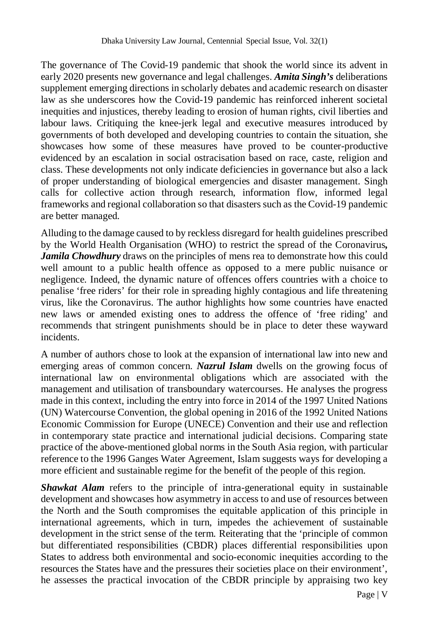The governance of The Covid-19 pandemic that shook the world since its advent in early 2020 presents new governance and legal challenges. *Amita Singh's* deliberations supplement emerging directions in scholarly debates and academic research on disaster law as she underscores how the Covid-19 pandemic has reinforced inherent societal inequities and injustices, thereby leading to erosion of human rights, civil liberties and labour laws. Critiquing the knee-jerk legal and executive measures introduced by governments of both developed and developing countries to contain the situation, she showcases how some of these measures have proved to be counter-productive evidenced by an escalation in social ostracisation based on race, caste, religion and class. These developments not only indicate deficiencies in governance but also a lack of proper understanding of biological emergencies and disaster management. Singh calls for collective action through research, information flow, informed legal frameworks and regional collaboration so that disasters such as the Covid-19 pandemic are better managed.

Alluding to the damage caused to by reckless disregard for health guidelines prescribed by the World Health Organisation (WHO) to restrict the spread of the Coronavirus*, Jamila Chowdhury* draws on the principles of mens rea to demonstrate how this could well amount to a public health offence as opposed to a mere public nuisance or negligence. Indeed, the dynamic nature of offences offers countries with a choice to penalise 'free riders' for their role in spreading highly contagious and life threatening virus, like the Coronavirus. The author highlights how some countries have enacted new laws or amended existing ones to address the offence of 'free riding' and recommends that stringent punishments should be in place to deter these wayward incidents.

A number of authors chose to look at the expansion of international law into new and emerging areas of common concern. *Nazrul Islam* dwells on the growing focus of international law on environmental obligations which are associated with the management and utilisation of transboundary watercourses. He analyses the progress made in this context, including the entry into force in 2014 of the 1997 United Nations (UN) Watercourse Convention, the global opening in 2016 of the 1992 United Nations Economic Commission for Europe (UNECE) Convention and their use and reflection in contemporary state practice and international judicial decisions. Comparing state practice of the above-mentioned global norms in the South Asia region, with particular reference to the 1996 Ganges Water Agreement, Islam suggests ways for developing a more efficient and sustainable regime for the benefit of the people of this region.

**Shawkat Alam** refers to the principle of intra-generational equity in sustainable development and showcases how asymmetry in access to and use of resources between the North and the South compromises the equitable application of this principle in international agreements, which in turn, impedes the achievement of sustainable development in the strict sense of the term. Reiterating that the 'principle of common but differentiated responsibilities (CBDR) places differential responsibilities upon States to address both environmental and socio-economic inequities according to the resources the States have and the pressures their societies place on their environment', he assesses the practical invocation of the CBDR principle by appraising two key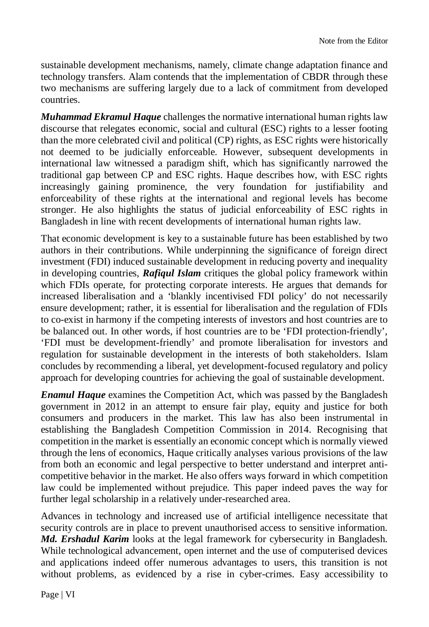sustainable development mechanisms, namely, climate change adaptation finance and technology transfers. Alam contends that the implementation of CBDR through these two mechanisms are suffering largely due to a lack of commitment from developed countries.

*Muhammad Ekramul Haque* challenges the normative international human rights law discourse that relegates economic, social and cultural (ESC) rights to a lesser footing than the more celebrated civil and political (CP) rights, as ESC rights were historically not deemed to be judicially enforceable. However, subsequent developments in international law witnessed a paradigm shift, which has significantly narrowed the traditional gap between CP and ESC rights. Haque describes how, with ESC rights increasingly gaining prominence, the very foundation for justifiability and enforceability of these rights at the international and regional levels has become stronger. He also highlights the status of judicial enforceability of ESC rights in Bangladesh in line with recent developments of international human rights law.

That economic development is key to a sustainable future has been established by two authors in their contributions. While underpinning the significance of foreign direct investment (FDI) induced sustainable development in reducing poverty and inequality in developing countries, *Rafiqul Islam* critiques the global policy framework within which FDIs operate, for protecting corporate interests. He argues that demands for increased liberalisation and a 'blankly incentivised FDI policy' do not necessarily ensure development; rather, it is essential for liberalisation and the regulation of FDIs to co-exist in harmony if the competing interests of investors and host countries are to be balanced out. In other words, if host countries are to be 'FDI protection-friendly', 'FDI must be development-friendly' and promote liberalisation for investors and regulation for sustainable development in the interests of both stakeholders. Islam concludes by recommending a liberal, yet development-focused regulatory and policy approach for developing countries for achieving the goal of sustainable development.

*Enamul Haque* examines the Competition Act, which was passed by the Bangladesh government in 2012 in an attempt to ensure fair play, equity and justice for both consumers and producers in the market. This law has also been instrumental in establishing the Bangladesh Competition Commission in 2014. Recognising that competition in the market is essentially an economic concept which is normally viewed through the lens of economics, Haque critically analyses various provisions of the law from both an economic and legal perspective to better understand and interpret anticompetitive behavior in the market. He also offers ways forward in which competition law could be implemented without prejudice. This paper indeed paves the way for further legal scholarship in a relatively under-researched area.

Advances in technology and increased use of artificial intelligence necessitate that security controls are in place to prevent unauthorised access to sensitive information. *Md. Ershadul Karim* looks at the legal framework for cybersecurity in Bangladesh. While technological advancement, open internet and the use of computerised devices and applications indeed offer numerous advantages to users, this transition is not without problems, as evidenced by a rise in cyber-crimes. Easy accessibility to